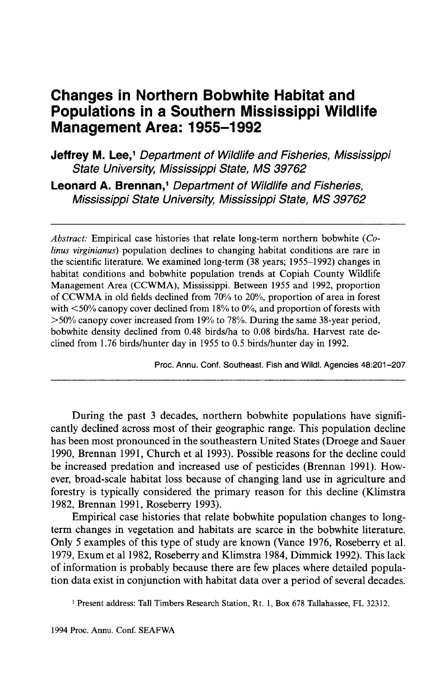# **Changes in Northern Bobwhite Habitat and Populations in a Southern Mississippi Wildlife Management Area: 1955-1992**

**Jeffrey M. Lee,<sup>1</sup> Department of Wildlife and Fisheries, Mississippi** State University, Mississippi State, MS 39762

Leonard A. Brennan,<sup>1</sup> Department of Wildlife and Fisheries, Mississippi State University, Mississippi State, MS 39762

*Abstract:* Empirical case histories that relate long-term northern bobwhite *(Colinus virginianus)* population declines to changing habitat conditions are rare in the scientific literature. We examined long-term (38 years; 1955-1992) changes in habitat conditions and bobwhite population trends at Copiah County Wildlife Management Area (CCWMA), Mississippi. Between 1955 and 1992, proportion of CCWMA in old fields declined from 70% to 20%, proportion of area in forest with  $\leq 50\%$  canopy cover declined from 18% to 0%, and proportion of forests with >50% canopy cover increased from 19% to 78%. During the same 38-year period, bobwhite density declined from 0.48 birds/ha to 0.08 birds/ha. Harvest rate declined from 1.76 birds/hunter day in 1955 to 0.5 birds/hunter day in 1992.

Proc. Annu. Conf. Southeast. Fish and Wildl. Agencies 48:201-207

During the past 3 decades, northern bobwhite populations have significantly declined across most of their geographic range. This population decline has been most pronounced in the southeastern United States (Droege and Sauer 1990, Brennan 1991, Church et al 1993). Possible reasons for the decline could be increased predation and increased use of pesticides (Brennan 1991). However, broad-scale habitat loss because of changing land use in agriculture and forestry is typically considered the primary reason for this decline (Klimstra 1982, Brennan 1991, Roseberry 1993).

Empirical case histories that relate bobwhite population changes to longterm changes in vegetation and habitats are scarce in the bobwhite literature. Only 5 examples of this type of study are known (Vance 1976, Roseberry et al. 1979, Exum et al 1982, Roseberry and Klimstra 1984, Dimmick 1992). This lack of information is probably because there are few places where detailed population data exist in conjunction with habitat data over a period of several decades.

<sup>1</sup> Present address: Tall Timbers Research Station, Rt. 1, Box 678 Tallahassee, FL 32312.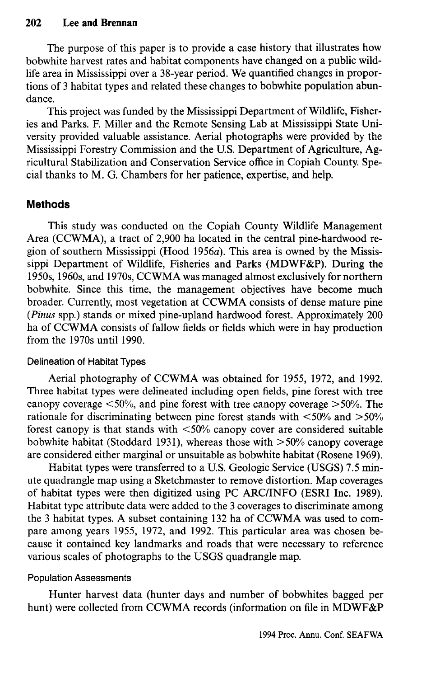The purpose of this paper is to provide a case history that illustrates how bobwhite harvest rates and habitat components have changed on a public wildlife area in Mississippi over a 38-year period. We quantified changes in proportions of 3 habitat types and related these changes to bobwhite population abundance.

This project was funded by the Mississippi Department of Wildlife, Fisheries and Parks. F. Miller and the Remote Sensing Lab at Mississippi State University provided valuable assistance. Aerial photographs were provided by the Mississippi Forestry Commission and the U.S. Department of Agriculture, Agricultural Stabilization and Conservation Service office in Copiah County. Special thanks to M. G. Chambers for her patience, expertise, and help.

## **Methods**

This study was conducted on the Copiah County Wildlife Management Area (CCWMA), a tract of 2,900 ha located in the central pine-hardwood region of southern Mississippi (Hood 1956a). This area is owned by the Mississippi Department of Wildlife, Fisheries and Parks (MDWF&P). During the 1950s, 1960s, and 1970s, CCWMA was managed almost exclusively for northern bobwhite. Since this time, the management objectives have become much broader. Currently, most vegetation at CCWMA consists of dense mature pine *(Pinus* spp.) stands or mixed pine-upland hardwood forest. Approximately 200 ha of CCWMA consists of fallow fields or fields which were in hay production from the 1970s until 1990.

### Delineation of Habitat Types

Aerial photography of CCWMA was obtained for 1955, 1972, and 1992. Three habitat types were delineated including open fields, pine forest with tree canopy coverage  $\leq 50\%$ , and pine forest with tree canopy coverage  $> 50\%$ . The rationale for discriminating between pine forest stands with  $\langle 50\% \text{ and } 50\% \rangle$ forest canopy is that stands with <50% canopy cover are considered suitable bobwhite habitat (Stoddard 1931), whereas those with  $> 50\%$  canopy coverage are considered either marginal or unsuitable as bobwhite habitat (Rosene 1969).

Habitat types were transferred to a U.S. Geologic Service (USGS) 7.5 minute quadrangle map using a Sketchmaster to remove distortion. Map coverages of habitat types were then digitized using PC ARC/INFO (ESRI Inc. 1989). Habitat type attribute data were added to the 3 coverages to discriminate among the 3 habitat types. A subset containing 132 ha of CCWMA was used to compare among years 1955, 1972, and 1992. This particular area was chosen because it contained key landmarks and roads that were necessary to reference various scales of photographs to the USGS quadrangle map.

## Population Assessments

Hunter harvest data (hunter days and number of bobwhites bagged per hunt) were collected from CCWMA records (information on file in MDWF&P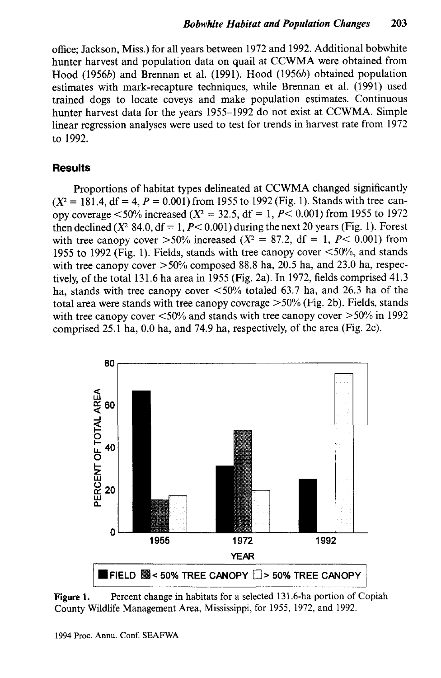office; Jackson, Miss.) for all years between 1972 and 1992. Additional bobwhite hunter harvest and population data on quail at CCWMA were obtained from Hood (19566) and Brennan et al. (1991). Hood (19566) obtained population estimates with mark-recapture techniques, while Brennan et al. (1991) used trained dogs to locate coveys and make population estimates. Continuous hunter harvest data for the years 1955-1992 do not exist at CCWMA. Simple linear regression analyses were used to test for trends in harvest rate from 1972 to 1992.

### **Results**

Proportions of habitat types delineated at CCWMA changed significantly  $(X^2 = 181.4, df = 4, P = 0.001)$  from 1955 to 1992 (Fig. 1). Stands with tree canopy coverage <50% increased *(X<sup>2</sup>* = 32.5, df = 1, *P<* 0.001) from 1955 to 1972 then declined ( $X^2$  84.0, df = 1,  $P$  < 0.001) during the next 20 years (Fig. 1). Forest with tree canopy cover  $>50\%$  increased ( $X^2 = 87.2$ , df = 1, P < 0.001) from 1955 to 1992 (Fig. 1). Fields, stands with tree canopy cover  $\leq 50\%$ , and stands with tree canopy cover  $>50\%$  composed 88.8 ha, 20.5 ha, and 23.0 ha, respectively, of the total 131.6 ha area in 1955 (Fig. 2a). In 1972, fields comprised 41.3 ha, stands with tree canopy cover <50% totaled 63.7 ha, and 26.3 ha of the total area were stands with tree canopy coverage >50% (Fig. 2b). Fields, stands with tree canopy cover  $\langle 50\%$  and stands with tree canopy cover  $> 50\%$  in 1992 comprised 25.1 ha, 0.0 ha, and 74.9 ha, respectively, of the area (Fig. 2c).



Figure 1. Percent change in habitats for a selected 131.6-ha portion of Copiah County Wildlife Management Area, Mississippi, for 1955, 1972, and 1992.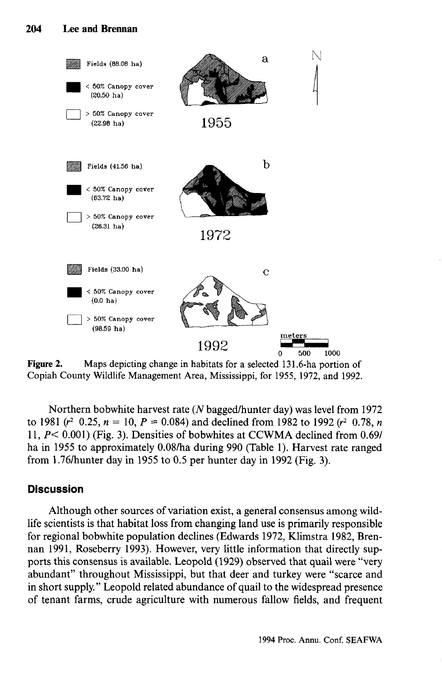

Figure 2. Maps depicting change in habitats for a selected 131.6-ha portion of Copiah County Wildlife Management Area, Mississippi, for 1955, 1972, and 1992. Copiah County Wildlife Management Area, Mississippi, for 1955, 1972, and 1992.

Northern bobwhite harvest rate *(N* bagged/hunter day) was level from 1972 to 1981 ( $r^2$  0.25,  $n = 10$ ,  $P = 0.084$ ) and declined from 1982 to 1992 ( $r^2$  0.78,  $n$ 11, *P<* 0.001) (Fig. 3). Densities of bobwhites at CCWMA declined from 0.69/ ha in 1955 to approximately 0.08/ha during 990 (Table 1). Harvest rate ranged from 1.76/hunter day in 1955 to 0.5 per hunter day in 1992 (Fig. 3).

## **Discussion**

Although other sources of variation exist, a general consensus among wildlife scientists is that habitat loss from changing land use is primarily responsible for regional bobwhite population declines (Edwards 1972, Klimstra 1982, Brennan 1991, Roseberry 1993). However, very little information that directly supports this consensus is available. Leopold (1929) observed that quail were "very abundant" throughout Mississippi, but that deer and turkey were "scarce and in short supply." Leopold related abundance of quail to the widespread presence of tenant farms, crude agriculture with numerous fallow fields, and frequent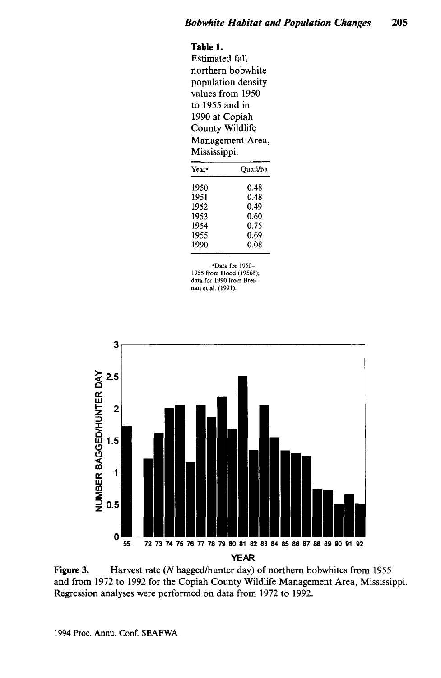## **Table 1.**

Estimated fall northern bobwhite population density values from 1950 to 1955 and in 1990 at Copiah County Wildlife Management Area, Mississippi.

| Quail/ha |
|----------|
| 0.48     |
| 0.48     |
| 0.49     |
| 0.60     |
| 0.75     |
| 0.69     |
| 0.08     |
|          |

•Data for 1950- 1955 from Hood (1956b); data for 1990 from Brennan et al. (1991).



**Figure 3.** Harvest rate *(N* bagged/hunter day) of northern bobwhites from 1955 and from 1972 to 1992 for the Copiah County Wildlife Management Area, Mississippi. Regression analyses were performed on data from 1972 to 1992.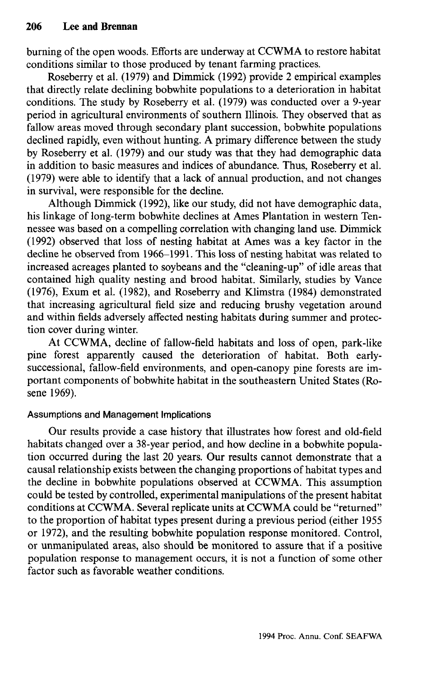burning of the open woods. Efforts are underway at CCWMA to restore habitat conditions similar to those produced by tenant farming practices.

Roseberry et al. (1979) and Dimmick (1992) provide 2 empirical examples that directly relate declining bobwhite populations to a deterioration in habitat conditions. The study by Roseberry et al. (1979) was conducted over a 9-year period in agricultural environments of southern Illinois. They observed that as fallow areas moved through secondary plant succession, bobwhite populations declined rapidly, even without hunting. A primary difference between the study by Roseberry et al. (1979) and our study was that they had demographic data in addition to basic measures and indices of abundance. Thus, Roseberry et al. (1979) were able to identify that a lack of annual production, and not changes in survival, were responsible for the decline.

Although Dimmick (1992), like our study, did not have demographic data, his linkage of long-term bobwhite declines at Ames Plantation in western Tennessee was based on a compelling correlation with changing land use. Dimmick (1992) observed that loss of nesting habitat at Ames was a key factor in the decline he observed from 1966-1991. This loss of nesting habitat was related to increased acreages planted to soybeans and the "cleaning-up" of idle areas that contained high quality nesting and brood habitat. Similarly, studies by Vance (1976), Exum et al. (1982), and Roseberry and Klimstra (1984) demonstrated that increasing agricultural field size and reducing brushy vegetation around and within fields adversely affected nesting habitats during summer and protection cover during winter.

At CCWMA, decline of fallow-field habitats and loss of open, park-like pine forest apparently caused the deterioration of habitat. Both earlysuccessional, fallow-field environments, and open-canopy pine forests are important components of bobwhite habitat in the southeastern United States (Rosene 1969).

#### Assumptions and Management Implications

Our results provide a case history that illustrates how forest and old-field habitats changed over a 38-year period, and how decline in a bobwhite population occurred during the last 20 years. Our results cannot demonstrate that a causal relationship exists between the changing proportions of habitat types and the decline in bobwhite populations observed at CCWMA. This assumption could be tested by controlled, experimental manipulations of the present habitat conditions at CCWMA. Several replicate units at CCWMA could be "returned" to the proportion of habitat types present during a previous period (either 1955 or 1972), and the resulting bobwhite population response monitored. Control, or unmanipulated areas, also should be monitored to assure that if a positive population response to management occurs, it is not a function of some other factor such as favorable weather conditions.